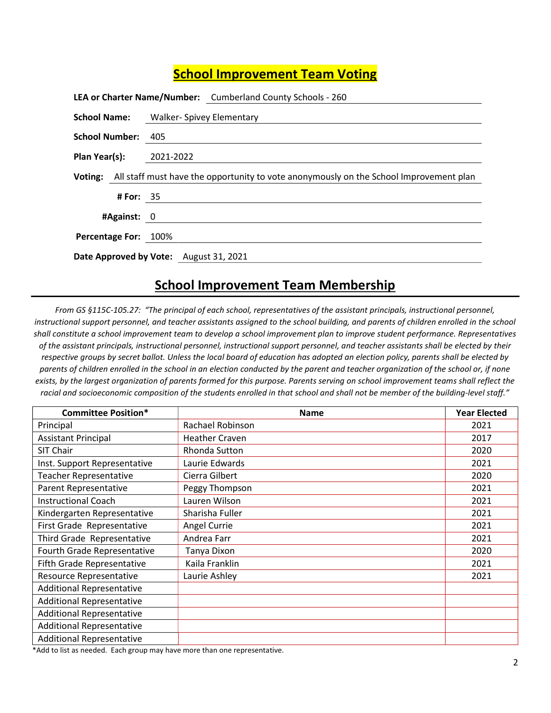## School Improvement Team Voting

|                                        |             | LEA or Charter Name/Number: Cumberland County Schools - 260                                    |
|----------------------------------------|-------------|------------------------------------------------------------------------------------------------|
|                                        |             | <b>School Name:</b> Walker- Spivey Elementary                                                  |
| School Number: 405                     |             |                                                                                                |
| <b>Plan Year(s):</b> 2021-2022         |             |                                                                                                |
|                                        |             | Voting: All staff must have the opportunity to vote anonymously on the School Improvement plan |
|                                        | # For: $35$ |                                                                                                |
| #Against: 0                            |             |                                                                                                |
| Percentage For: 100%                   |             |                                                                                                |
| Date Approved by Vote: August 31, 2021 |             |                                                                                                |

## School Improvement Team Membership

From GS §115C-105.27: "The principal of each school, representatives of the assistant principals, instructional personnel, instructional support personnel, and teacher assistants assigned to the school building, and parents of children enrolled in the school shall constitute a school improvement team to develop a school improvement plan to improve student performance. Representatives of the assistant principals, instructional personnel, instructional support personnel, and teacher assistants shall be elected by their respective groups by secret ballot. Unless the local board of education has adopted an election policy, parents shall be elected by parents of children enrolled in the school in an election conducted by the parent and teacher organization of the school or, if none exists, by the largest organization of parents formed for this purpose. Parents serving on school improvement teams shall reflect the racial and socioeconomic composition of the students enrolled in that school and shall not be member of the building-level staff."

| <b>Committee Position*</b>       | <b>Name</b>           | <b>Year Elected</b> |
|----------------------------------|-----------------------|---------------------|
| Principal                        | Rachael Robinson      | 2021                |
| <b>Assistant Principal</b>       | <b>Heather Craven</b> | 2017                |
| SIT Chair                        | Rhonda Sutton         | 2020                |
| Inst. Support Representative     | Laurie Edwards        | 2021                |
| <b>Teacher Representative</b>    | Cierra Gilbert        | 2020                |
| Parent Representative            | Peggy Thompson        | 2021                |
| <b>Instructional Coach</b>       | Lauren Wilson         | 2021                |
| Kindergarten Representative      | Sharisha Fuller       | 2021                |
| First Grade Representative       | Angel Currie          | 2021                |
| Third Grade Representative       | Andrea Farr           | 2021                |
| Fourth Grade Representative      | Tanya Dixon           | 2020                |
| Fifth Grade Representative       | Kaila Franklin        | 2021                |
| Resource Representative          | Laurie Ashley         | 2021                |
| <b>Additional Representative</b> |                       |                     |
| <b>Additional Representative</b> |                       |                     |
| <b>Additional Representative</b> |                       |                     |
| <b>Additional Representative</b> |                       |                     |
| <b>Additional Representative</b> |                       |                     |

\*Add to list as needed. Each group may have more than one representative.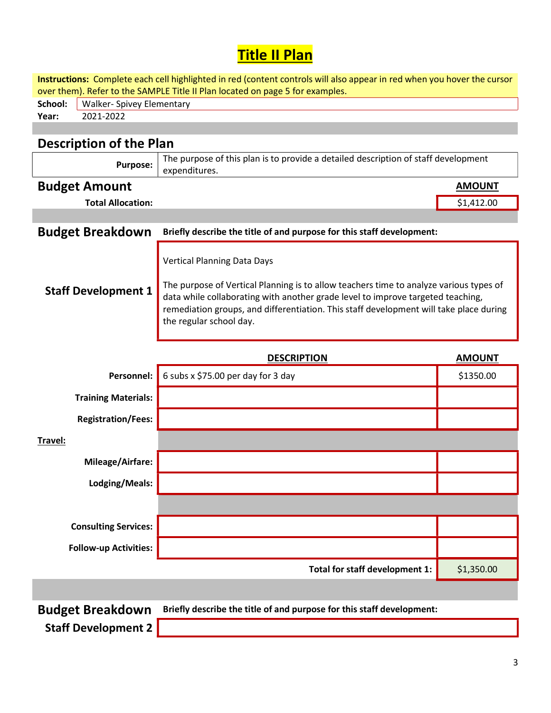## **Title II Plan**

Instructions: Complete each cell highlighted in red (content controls will also appear in red when you hover the cursor over them). Refer to the SAMPLE Title II Plan located on page 5 for examples.

|       | <b>School:</b> Walker- Spivey Elementary |
|-------|------------------------------------------|
| Year: | 2021-2022                                |

## Description of the Plan

| <b>Purpose:</b>              | The purpose of this plan is to provide a detailed description of staff development<br>expenditures.                                                                                                                                                                                                                                  |               |  |
|------------------------------|--------------------------------------------------------------------------------------------------------------------------------------------------------------------------------------------------------------------------------------------------------------------------------------------------------------------------------------|---------------|--|
| <b>Budget Amount</b>         |                                                                                                                                                                                                                                                                                                                                      | <b>AMOUNT</b> |  |
| <b>Total Allocation:</b>     |                                                                                                                                                                                                                                                                                                                                      | \$1,412.00    |  |
|                              |                                                                                                                                                                                                                                                                                                                                      |               |  |
| <b>Budget Breakdown</b>      | Briefly describe the title of and purpose for this staff development:                                                                                                                                                                                                                                                                |               |  |
| <b>Staff Development 1</b>   | <b>Vertical Planning Data Days</b><br>The purpose of Vertical Planning is to allow teachers time to analyze various types of<br>data while collaborating with another grade level to improve targeted teaching,<br>remediation groups, and differentiation. This staff development will take place during<br>the regular school day. |               |  |
|                              | <b>DESCRIPTION</b>                                                                                                                                                                                                                                                                                                                   | <b>AMOUNT</b> |  |
| Personnel:                   | 6 subs x \$75.00 per day for 3 day                                                                                                                                                                                                                                                                                                   | \$1350.00     |  |
| <b>Training Materials:</b>   |                                                                                                                                                                                                                                                                                                                                      |               |  |
| <b>Registration/Fees:</b>    |                                                                                                                                                                                                                                                                                                                                      |               |  |
| Travel:                      |                                                                                                                                                                                                                                                                                                                                      |               |  |
| Mileage/Airfare:             |                                                                                                                                                                                                                                                                                                                                      |               |  |
| Lodging/Meals:               |                                                                                                                                                                                                                                                                                                                                      |               |  |
|                              |                                                                                                                                                                                                                                                                                                                                      |               |  |
| <b>Consulting Services:</b>  |                                                                                                                                                                                                                                                                                                                                      |               |  |
| <b>Follow-up Activities:</b> |                                                                                                                                                                                                                                                                                                                                      |               |  |
|                              | Total for staff development 1:                                                                                                                                                                                                                                                                                                       | \$1,350.00    |  |
|                              |                                                                                                                                                                                                                                                                                                                                      |               |  |
| Rudget Breakdown             | Rriefly describe the title of and nurnose for this staff development.                                                                                                                                                                                                                                                                |               |  |

Budget Breakdown Briefly describe the title of and purpose for this staff development:

Staff Development 2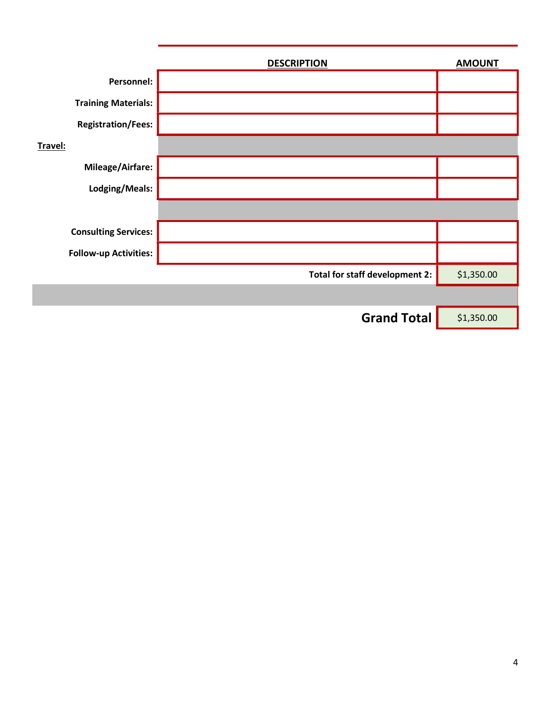|                              | <b>DESCRIPTION</b>             | <b>AMOUNT</b> |
|------------------------------|--------------------------------|---------------|
| Personnel:                   |                                |               |
| <b>Training Materials:</b>   |                                |               |
| <b>Registration/Fees:</b>    |                                |               |
| Travel:                      |                                |               |
| Mileage/Airfare:             |                                |               |
| Lodging/Meals:               |                                |               |
|                              |                                |               |
| <b>Consulting Services:</b>  |                                |               |
| <b>Follow-up Activities:</b> |                                |               |
|                              | Total for staff development 2: | \$1,350.00    |
|                              |                                |               |
|                              | <b>Grand Total</b>             | \$1,350.00    |